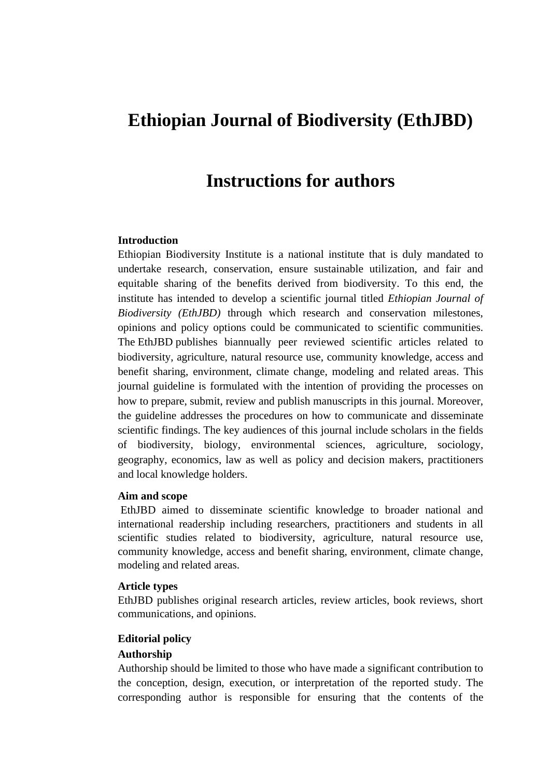# **Ethiopian Journal of Biodiversity (EthJBD)**

# **Instructions for authors**

## **Introduction**

Ethiopian Biodiversity Institute is a national institute that is duly mandated to undertake research, conservation, ensure sustainable utilization, and fair and equitable sharing of the benefits derived from biodiversity. To this end, the institute has intended to develop a scientific journal titled *Ethiopian Journal of Biodiversity (EthJBD)* through which research and conservation milestones, opinions and policy options could be communicated to scientific communities. The EthJBD publishes biannually peer reviewed scientific articles related to biodiversity, agriculture, natural resource use, community knowledge, access and benefit sharing, environment, climate change, modeling and related areas. This journal guideline is formulated with the intention of providing the processes on how to prepare, submit, review and publish manuscripts in this journal. Moreover, the guideline addresses the procedures on how to communicate and disseminate scientific findings. The key audiences of this journal include scholars in the fields of biodiversity, biology, environmental sciences, agriculture, sociology, geography, economics, law as well as policy and decision makers, practitioners and local knowledge holders.

#### **Aim and scope**

EthJBD aimed to disseminate scientific knowledge to broader national and international readership including researchers, practitioners and students in all scientific studies related to biodiversity, agriculture, natural resource use, community knowledge, access and benefit sharing, environment, climate change, modeling and related areas.

## **Article types**

EthJBD publishes original research articles, review articles, book reviews, short communications, and opinions.

### **Editorial policy**

#### **Authorship**

Authorship should be limited to those who have made a significant contribution to the conception, design, execution, or interpretation of the reported study. The corresponding author is responsible for ensuring that the contents of the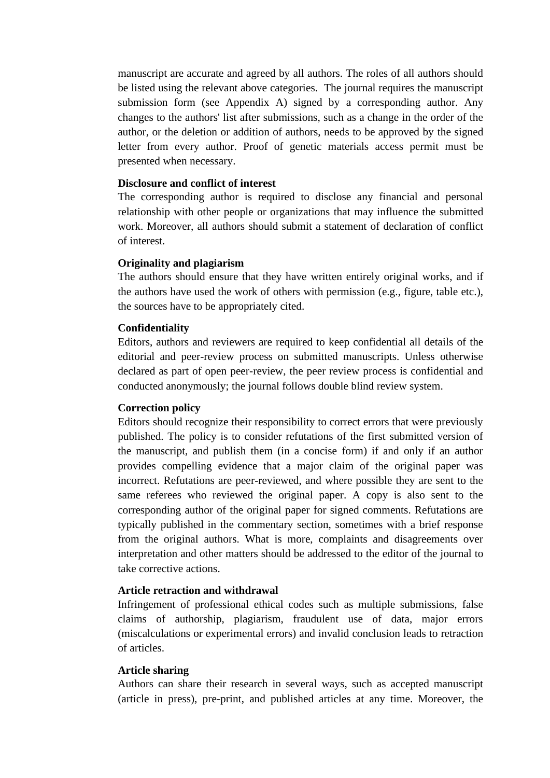manuscript are accurate and agreed by all authors. The roles of all authors should be listed using the relevant above categories. The journal requires the manuscript submission form (see Appendix A) signed by a corresponding author. Any changes to the authors' list after submissions, such as a change in the order of the author, or the deletion or addition of authors, needs to be approved by the signed letter from every author. Proof of genetic materials access permit must be presented when necessary.

## **Disclosure and conflict of interest**

The corresponding author is required to disclose any financial and personal relationship with other people or organizations that may influence the submitted work. Moreover, all authors should submit a statement of declaration of conflict of interest.

### **Originality and plagiarism**

The authors should ensure that they have written entirely original works, and if the authors have used the work of others with permission (e.g., figure, table etc.), the sources have to be appropriately cited.

### **Confidentiality**

Editors, authors and reviewers are required to keep confidential all details of the editorial and peer-review process on submitted manuscripts. Unless otherwise declared as part of open peer-review, the peer review process is confidential and conducted anonymously; the journal follows double blind review system.

#### **Correction policy**

Editors should recognize their responsibility to correct errors that were previously published. The policy is to consider refutations of the first submitted version of the manuscript, and publish them (in a concise form) if and only if an author provides compelling evidence that a major claim of the original paper was incorrect. Refutations are peer-reviewed, and where possible they are sent to the same referees who reviewed the original paper. A copy is also sent to the corresponding author of the original paper for signed comments. Refutations are typically published in the commentary section, sometimes with a brief response from the original authors. What is more, complaints and disagreements over interpretation and other matters should be addressed to the editor of the journal to take corrective actions.

## **Article retraction and withdrawal**

Infringement of professional ethical codes such as multiple submissions, false claims of authorship, plagiarism, fraudulent use of data, major errors (miscalculations or experimental errors) and invalid conclusion leads to retraction of articles.

#### **Article sharing**

Authors can share their research in several ways, such as accepted manuscript (article in press), pre-print, and published articles at any time. Moreover, the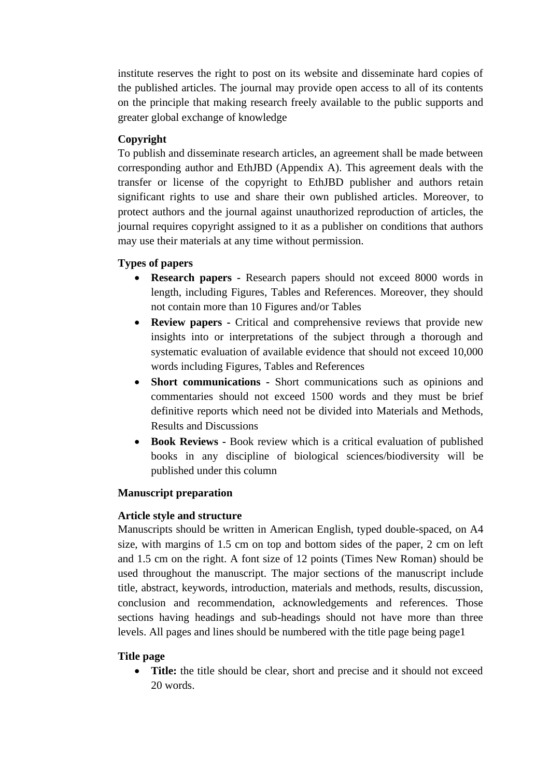institute reserves the right to post on its website and disseminate hard copies of the published articles. The journal may provide open access to all of its contents on the principle that making research freely available to the public supports and greater global exchange of knowledge

# **Copyright**

To publish and disseminate research articles, an agreement shall be made between corresponding author and EthJBD (Appendix A). This agreement deals with the transfer or license of the copyright to EthJBD publisher and authors retain significant rights to use and share their own published articles. Moreover, to protect authors and the journal against unauthorized reproduction of articles, the journal requires copyright assigned to it as a publisher on conditions that authors may use their materials at any time without permission.

# **Types of papers**

- **Research papers -** Research papers should not exceed 8000 words in length, including Figures, Tables and References. Moreover, they should not contain more than 10 Figures and/or Tables
- **Review papers -** Critical and comprehensive reviews that provide new insights into or interpretations of the subject through a thorough and systematic evaluation of available evidence that should not exceed 10,000 words including Figures, Tables and References
- **Short communications -** Short communications such as opinions and commentaries should not exceed 1500 words and they must be brief definitive reports which need not be divided into Materials and Methods, Results and Discussions
- **Book Reviews -** Book review which is a critical evaluation of published books in any discipline of biological sciences/biodiversity will be published under this column

# **Manuscript preparation**

# **Article style and structure**

Manuscripts should be written in American English, typed double-spaced, on A4 size, with margins of 1.5 cm on top and bottom sides of the paper, 2 cm on left and 1.5 cm on the right. A font size of 12 points (Times New Roman) should be used throughout the manuscript. The major sections of the manuscript include title, abstract, keywords, introduction, materials and methods, results, discussion, conclusion and recommendation, acknowledgements and references. Those sections having headings and sub-headings should not have more than three levels. All pages and lines should be numbered with the title page being page1

# **Title page**

• **Title:** the title should be clear, short and precise and it should not exceed 20 words.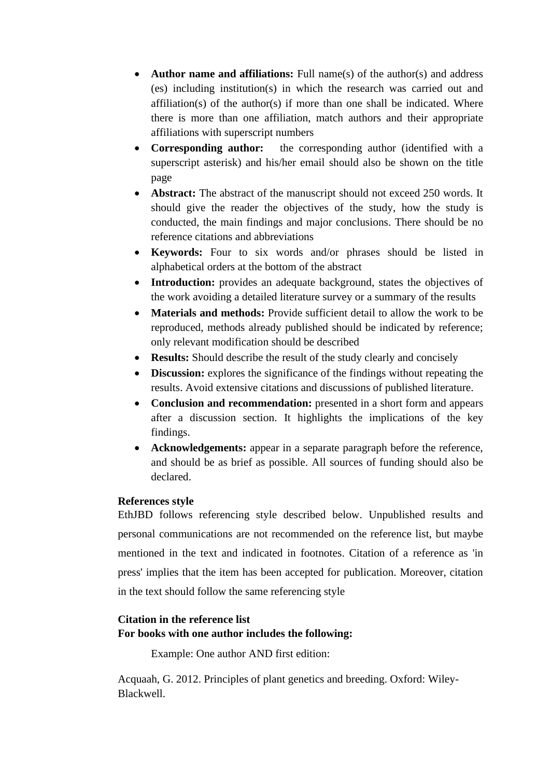- **Author name and affiliations:** Full name(s) of the author(s) and address (es) including institution(s) in which the research was carried out and affiliation(s) of the author(s) if more than one shall be indicated. Where there is more than one affiliation, match authors and their appropriate affiliations with superscript numbers
- **Corresponding author:** the corresponding author (identified with a superscript asterisk) and his/her email should also be shown on the title page
- **Abstract:** The abstract of the manuscript should not exceed 250 words. It should give the reader the objectives of the study, how the study is conducted, the main findings and major conclusions. There should be no reference citations and abbreviations
- **Keywords:** Four to six words and/or phrases should be listed in alphabetical orders at the bottom of the abstract
- **Introduction:** provides an adequate background, states the objectives of the work avoiding a detailed literature survey or a summary of the results
- **Materials and methods:** Provide sufficient detail to allow the work to be reproduced, methods already published should be indicated by reference; only relevant modification should be described
- **Results:** Should describe the result of the study clearly and concisely
- **Discussion:** explores the significance of the findings without repeating the results. Avoid extensive citations and discussions of published literature.
- **Conclusion and recommendation:** presented in a short form and appears after a discussion section. It highlights the implications of the key findings.
- **Acknowledgements:** appear in a separate paragraph before the reference, and should be as brief as possible. All sources of funding should also be declared.

# **References style**

EthJBD follows referencing style described below. Unpublished results and personal communications are not recommended on the reference list, but maybe mentioned in the text and indicated in footnotes. Citation of a reference as 'in press' implies that the item has been accepted for publication. Moreover, citation in the text should follow the same referencing style

# **Citation in the reference list For books with one author includes the following:**

Example: One author AND first edition:

Acquaah, G. 2012. Principles of plant genetics and breeding. Oxford: Wiley-Blackwell.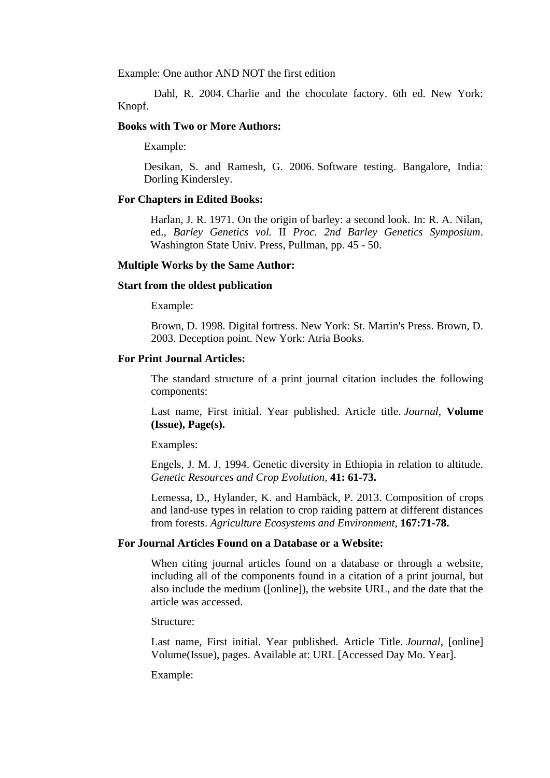Example: One author AND NOT the first edition

 Dahl, R. 2004. Charlie and the chocolate factory. 6th ed. New York: Knopf.

### **Books with Two or More Authors:**

Example:

Desikan, S. and Ramesh, G. 2006. Software testing. Bangalore, India: Dorling Kindersley.

#### **For Chapters in Edited Books:**

Harlan, J. R. 1971. On the origin of barley: a second look. In: R. A. Nilan, ed., *Barley Genetics vol.* II *Proc. 2nd Barley Genetics Symposium*. Washington State Univ. Press, Pullman, pp. 45 - 50.

#### **Multiple Works by the Same Author:**

#### **Start from the oldest publication**

Example:

Brown, D. 1998. Digital fortress. New York: St. Martin's Press. Brown, D. 2003. Deception point. New York: Atria Books.

## **For Print Journal Articles:**

The standard structure of a print journal citation includes the following components:

Last name, First initial. Year published. Article title. *Journal*, **Volume (Issue), Page(s).**

Examples:

Engels, J. M. J. 1994. Genetic diversity in Ethiopia in relation to altitude. *Genetic Resources and Crop Evolution,* **41: 61-73.**

Lemessa, D., Hylander, K. and Hambäck, P. 2013. Composition of crops and land-use types in relation to crop raiding pattern at different distances from forests. *Agriculture Ecosystems and Environment*, **167:71-78.**

## **For Journal Articles Found on a Database or a Website:**

When citing journal articles found on a database or through a website. including all of the components found in a citation of a print journal, but also include the medium ([online]), the website URL, and the date that the article was accessed.

Structure:

Last name, First initial. Year published. Article Title. *Journal*, [online] Volume(Issue), pages. Available at: URL [Accessed Day Mo. Year].

Example: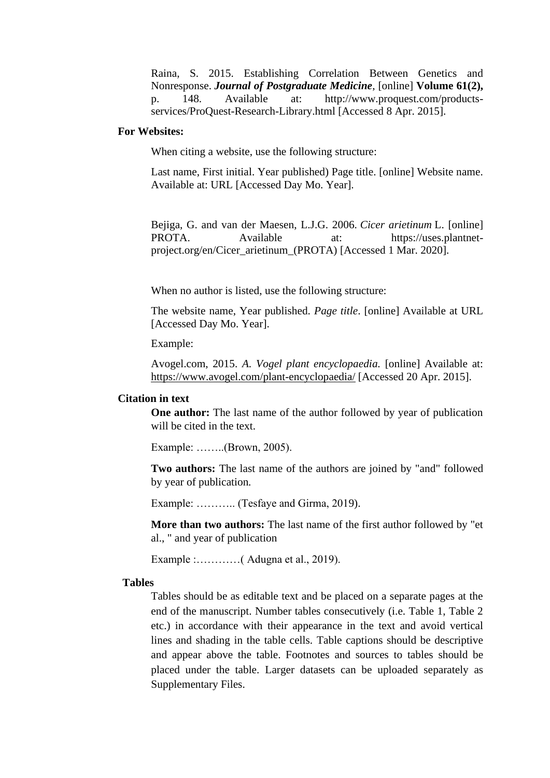Raina, S. 2015. Establishing Correlation Between Genetics and Nonresponse. *Journal of Postgraduate Medicine*, [online] **Volume 61(2),** p. 148. Available at: http://www.proquest.com/productsservices/ProQuest-Research-Library.html [Accessed 8 Apr. 2015].

#### **For Websites:**

When citing a website, use the following structure:

Last name, First initial. Year published) Page title. [online] Website name. Available at: URL [Accessed Day Mo. Year].

Bejiga, G. and van der Maesen, L.J.G. 2006. *Cicer arietinum* L. [online] PROTA. Available at: [https://uses.plantnet](https://uses.plantnet-project.org/en/Cicer_arietinum_(PROTA))[project.org/en/Cicer\\_arietinum\\_\(PROTA\)](https://uses.plantnet-project.org/en/Cicer_arietinum_(PROTA)) [Accessed 1 Mar. 2020].

When no author is listed, use the following structure:

The website name, Year published. *Page title*. [online] Available at URL [Accessed Day Mo. Year].

Example:

Avogel.com, 2015. *A. Vogel plant encyclopaedia.* [online] Available at: [https://www.avogel.com/plant-encyclopaedia/](https://www.avogel.com/plant-encyclopaedia/avena_sativa.php) [Accessed 20 Apr. 2015].

#### **Citation in text**

**One author:** The last name of the author followed by year of publication will be cited in the text.

Example: ……..(Brown, 2005).

**Two authors:** The last name of the authors are joined by "and" followed by year of publication*.*

Example: ……….. (Tesfaye and Girma, 2019).

**More than two authors:** The last name of the first author followed by "et al., " and year of publication

Example :…………( Adugna et al., 2019).

## **Tables**

Tables should be as editable text and be placed on a separate pages at the end of the manuscript. Number tables consecutively (i.e. Table 1, Table 2 etc.) in accordance with their appearance in the text and avoid vertical lines and shading in the table cells. Table captions should be descriptive and appear above the table. Footnotes and sources to tables should be placed under the table. Larger datasets can be uploaded separately as Supplementary Files.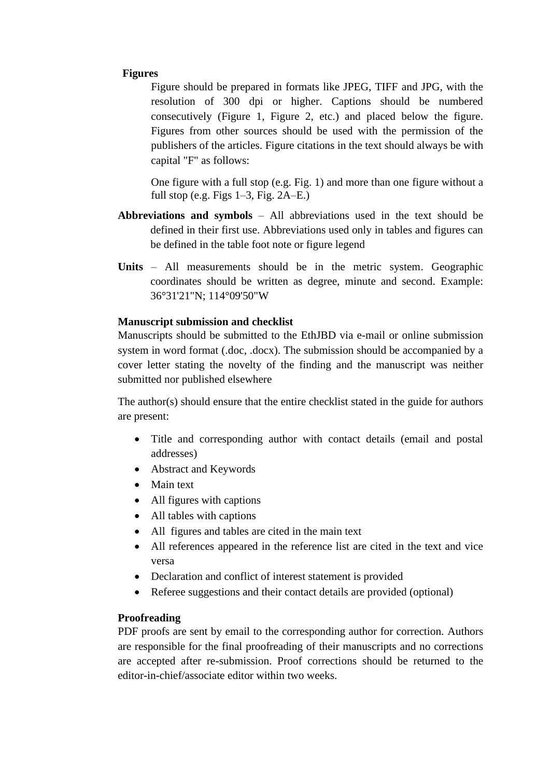## **Figures**

Figure should be prepared in formats like JPEG, TIFF and JPG, with the resolution of 300 dpi or higher. Captions should be numbered consecutively (Figure 1, Figure 2, etc.) and placed below the figure. Figures from other sources should be used with the permission of the publishers of the articles. Figure citations in the text should always be with capital "F" as follows:

One figure with a full stop (e.g. Fig. 1) and more than one figure without a full stop (e.g. Figs 1–3, Fig. 2A–E.)

- **Abbreviations and symbols** All abbreviations used in the text should be defined in their first use. Abbreviations used only in tables and figures can be defined in the table foot note or figure legend
- **Units** All measurements should be in the metric system. Geographic coordinates should be written as degree, minute and second. Example: 36°31'21"N; 114°09'50"W

## **Manuscript submission and checklist**

Manuscripts should be submitted to the EthJBD via e-mail or online submission system in word format (.doc, .docx). The submission should be accompanied by a cover letter stating the novelty of the finding and the manuscript was neither submitted nor published elsewhere

The author(s) should ensure that the entire checklist stated in the guide for authors are present:

- Title and corresponding author with contact details (email and postal addresses)
- Abstract and Keywords
- Main text
- All figures with captions
- All tables with captions
- All figures and tables are cited in the main text
- All references appeared in the reference list are cited in the text and vice versa
- Declaration and conflict of interest statement is provided
- Referee suggestions and their contact details are provided (optional)

# **Proofreading**

PDF proofs are sent by email to the corresponding author for correction. Authors are responsible for the final proofreading of their manuscripts and no corrections are accepted after re-submission. Proof corrections should be returned to the editor-in-chief/associate editor within two weeks.